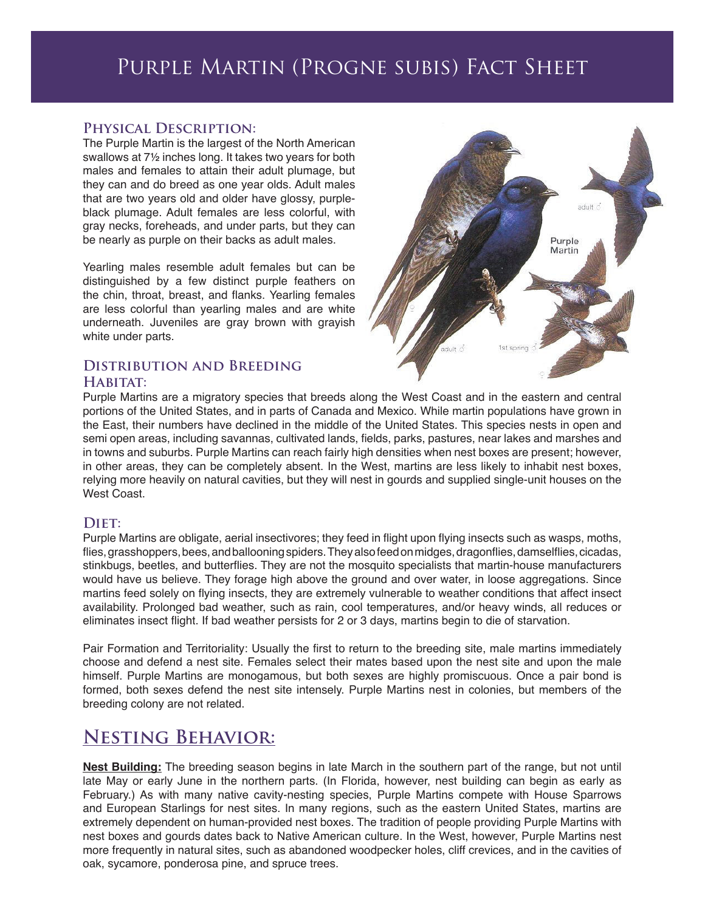# Purple Martin (Progne subis) Fact Sheet

#### **Physical Description:**

The Purple Martin is the largest of the North American swallows at 7½ inches long. It takes two years for both males and females to attain their adult plumage, but they can and do breed as one year olds. Adult males that are two years old and older have glossy, purpleblack plumage. Adult females are less colorful, with gray necks, foreheads, and under parts, but they can be nearly as purple on their backs as adult males.

Yearling males resemble adult females but can be distinguished by a few distinct purple feathers on the chin, throat, breast, and flanks. Yearling females are less colorful than yearling males and are white underneath. Juveniles are gray brown with grayish white under parts.

### **Distribution and Breeding**  HABITAT:



Purple Martins are a migratory species that breeds along the West Coast and in the eastern and central portions of the United States, and in parts of Canada and Mexico. While martin populations have grown in the East, their numbers have declined in the middle of the United States. This species nests in open and semi open areas, including savannas, cultivated lands, fields, parks, pastures, near lakes and marshes and in towns and suburbs. Purple Martins can reach fairly high densities when nest boxes are present; however, in other areas, they can be completely absent. In the West, martins are less likely to inhabit nest boxes, relying more heavily on natural cavities, but they will nest in gourds and supplied single-unit houses on the West Coast.

#### DIET:

Purple Martins are obligate, aerial insectivores; they feed in flight upon flying insects such as wasps, moths, flies, grasshoppers, bees, and ballooning spiders. They also feed on midges, dragonflies, damselflies, cicadas, stinkbugs, beetles, and butterflies. They are not the mosquito specialists that martin-house manufacturers would have us believe. They forage high above the ground and over water, in loose aggregations. Since martins feed solely on flying insects, they are extremely vulnerable to weather conditions that affect insect availability. Prolonged bad weather, such as rain, cool temperatures, and/or heavy winds, all reduces or eliminates insect flight. If bad weather persists for 2 or 3 days, martins begin to die of starvation.

Pair Formation and Territoriality: Usually the first to return to the breeding site, male martins immediately choose and defend a nest site. Females select their mates based upon the nest site and upon the male himself. Purple Martins are monogamous, but both sexes are highly promiscuous. Once a pair bond is formed, both sexes defend the nest site intensely. Purple Martins nest in colonies, but members of the breeding colony are not related.

## **Nesting Behavior:**

**Nest Building:** The breeding season begins in late March in the southern part of the range, but not until late May or early June in the northern parts. (In Florida, however, nest building can begin as early as February.) As with many native cavity-nesting species, Purple Martins compete with House Sparrows and European Starlings for nest sites. In many regions, such as the eastern United States, martins are extremely dependent on human-provided nest boxes. The tradition of people providing Purple Martins with nest boxes and gourds dates back to Native American culture. In the West, however, Purple Martins nest more frequently in natural sites, such as abandoned woodpecker holes, cliff crevices, and in the cavities of oak, sycamore, ponderosa pine, and spruce trees.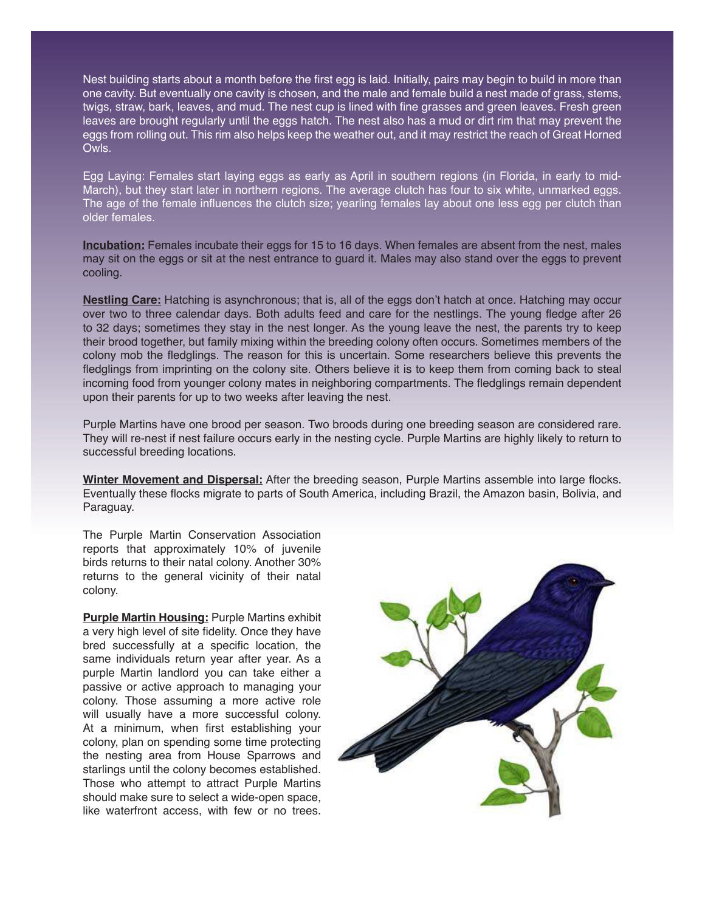Nest building starts about a month before the first egg is laid. Initially, pairs may begin to build in more than one cavity. But eventually one cavity is chosen, and the male and female build a nest made of grass, stems, twigs, straw, bark, leaves, and mud. The nest cup is lined with fine grasses and green leaves. Fresh green leaves are brought regularly until the eggs hatch. The nest also has a mud or dirt rim that may prevent the eggs from rolling out. This rim also helps keep the weather out, and it may restrict the reach of Great Horned Owls.

Egg Laying: Females start laying eggs as early as April in southern regions (in Florida, in early to mid-March), but they start later in northern regions. The average clutch has four to six white, unmarked eggs. The age of the female influences the clutch size; yearling females lay about one less egg per clutch than older females.

**Incubation:** Females incubate their eggs for 15 to 16 days. When females are absent from the nest, males may sit on the eggs or sit at the nest entrance to guard it. Males may also stand over the eggs to prevent cooling.

**Nestling Care:** Hatching is asynchronous; that is, all of the eggs don't hatch at once. Hatching may occur over two to three calendar days. Both adults feed and care for the nestlings. The young fledge after 26 to 32 days; sometimes they stay in the nest longer. As the young leave the nest, the parents try to keep their brood together, but family mixing within the breeding colony often occurs. Sometimes members of the colony mob the fledglings. The reason for this is uncertain. Some researchers believe this prevents the fledglings from imprinting on the colony site. Others believe it is to keep them from coming back to steal incoming food from younger colony mates in neighboring compartments. The fledglings remain dependent upon their parents for up to two weeks after leaving the nest.

Purple Martins have one brood per season. Two broods during one breeding season are considered rare. They will re-nest if nest failure occurs early in the nesting cycle. Purple Martins are highly likely to return to successful breeding locations.

**Winter Movement and Dispersal:** After the breeding season, Purple Martins assemble into large flocks. Eventually these flocks migrate to parts of South America, including Brazil, the Amazon basin, Bolivia, and Paraguay.

The Purple Martin Conservation Association reports that approximately 10% of juvenile birds returns to their natal colony. Another 30% returns to the general vicinity of their natal colony.

**Purple Martin Housing:** Purple Martins exhibit a very high level of site fidelity. Once they have bred successfully at a specific location, the same individuals return year after year. As a purple Martin landlord you can take either a passive or active approach to managing your colony. Those assuming a more active role will usually have a more successful colony. At a minimum, when first establishing your colony, plan on spending some time protecting the nesting area from House Sparrows and starlings until the colony becomes established. Those who attempt to attract Purple Martins should make sure to select a wide-open space, like waterfront access, with few or no trees.